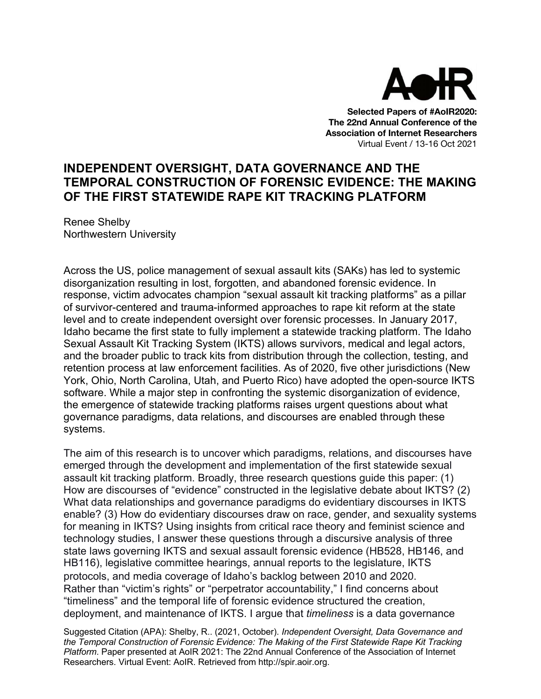

**Selected Papers of #AoIR2020: The 22nd Annual Conference of the Association of Internet Researchers** Virtual Event / 13-16 Oct 2021

## **INDEPENDENT OVERSIGHT, DATA GOVERNANCE AND THE TEMPORAL CONSTRUCTION OF FORENSIC EVIDENCE: THE MAKING OF THE FIRST STATEWIDE RAPE KIT TRACKING PLATFORM**

Renee Shelby Northwestern University

Across the US, police management of sexual assault kits (SAKs) has led to systemic disorganization resulting in lost, forgotten, and abandoned forensic evidence. In response, victim advocates champion "sexual assault kit tracking platforms" as a pillar of survivor-centered and trauma-informed approaches to rape kit reform at the state level and to create independent oversight over forensic processes. In January 2017, Idaho became the first state to fully implement a statewide tracking platform. The Idaho Sexual Assault Kit Tracking System (IKTS) allows survivors, medical and legal actors, and the broader public to track kits from distribution through the collection, testing, and retention process at law enforcement facilities. As of 2020, five other jurisdictions (New York, Ohio, North Carolina, Utah, and Puerto Rico) have adopted the open-source IKTS software. While a major step in confronting the systemic disorganization of evidence, the emergence of statewide tracking platforms raises urgent questions about what governance paradigms, data relations, and discourses are enabled through these systems.

The aim of this research is to uncover which paradigms, relations, and discourses have emerged through the development and implementation of the first statewide sexual assault kit tracking platform. Broadly, three research questions guide this paper: (1) How are discourses of "evidence" constructed in the legislative debate about IKTS? (2) What data relationships and governance paradigms do evidentiary discourses in IKTS enable? (3) How do evidentiary discourses draw on race, gender, and sexuality systems for meaning in IKTS? Using insights from critical race theory and feminist science and technology studies, I answer these questions through a discursive analysis of three state laws governing IKTS and sexual assault forensic evidence (HB528, HB146, and HB116), legislative committee hearings, annual reports to the legislature, IKTS protocols, and media coverage of Idaho's backlog between 2010 and 2020. Rather than "victim's rights" or "perpetrator accountability," I find concerns about "timeliness" and the temporal life of forensic evidence structured the creation, deployment, and maintenance of IKTS. I argue that *timeliness* is a data governance

Suggested Citation (APA): Shelby, R.. (2021, October). *Independent Oversight, Data Governance and the Temporal Construction of Forensic Evidence: The Making of the First Statewide Rape Kit Tracking Platform*. Paper presented at AoIR 2021: The 22nd Annual Conference of the Association of Internet Researchers. Virtual Event: AoIR. Retrieved from http://spir.aoir.org.